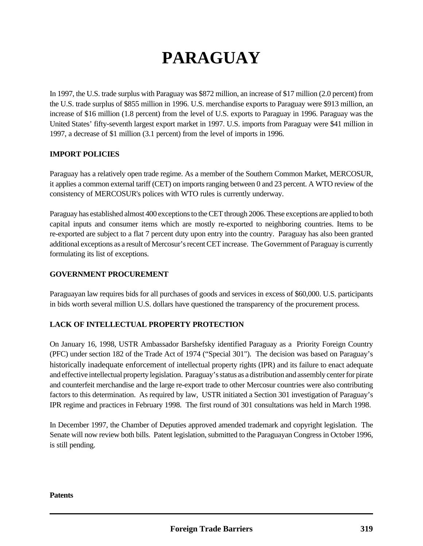# **PARAGUAY**

In 1997, the U.S. trade surplus with Paraguay was \$872 million, an increase of \$17 million (2.0 percent) from the U.S. trade surplus of \$855 million in 1996. U.S. merchandise exports to Paraguay were \$913 million, an increase of \$16 million (1.8 percent) from the level of U.S. exports to Paraguay in 1996. Paraguay was the United States' fifty-seventh largest export market in 1997. U.S. imports from Paraguay were \$41 million in 1997, a decrease of \$1 million (3.1 percent) from the level of imports in 1996.

# **IMPORT POLICIES**

Paraguay has a relatively open trade regime. As a member of the Southern Common Market, MERCOSUR, it applies a common external tariff (CET) on imports ranging between 0 and 23 percent. A WTO review of the consistency of MERCOSUR's polices with WTO rules is currently underway.

Paraguay has established almost 400 exceptions to the CET through 2006. These exceptions are applied to both capital inputs and consumer items which are mostly re-exported to neighboring countries. Items to be re-exported are subject to a flat 7 percent duty upon entry into the country. Paraguay has also been granted additional exceptions as a result of Mercosur's recent CET increase. The Government of Paraguay is currently formulating its list of exceptions.

### **GOVERNMENT PROCUREMENT**

Paraguayan law requires bids for all purchases of goods and services in excess of \$60,000. U.S. participants in bids worth several million U.S. dollars have questioned the transparency of the procurement process.

# **LACK OF INTELLECTUAL PROPERTY PROTECTION**

On January 16, 1998, USTR Ambassador Barshefsky identified Paraguay as a Priority Foreign Country (PFC) under section 182 of the Trade Act of 1974 ("Special 301"). The decision was based on Paraguay's historically inadequate enforcement of intellectual property rights (IPR) and its failure to enact adequate and effective intellectual property legislation. Paraguay's status as a distribution and assembly center for pirate and counterfeit merchandise and the large re-export trade to other Mercosur countries were also contributing factors to this determination. As required by law, USTR initiated a Section 301 investigation of Paraguay's IPR regime and practices in February 1998. The first round of 301 consultations was held in March 1998.

In December 1997, the Chamber of Deputies approved amended trademark and copyright legislation. The Senate will now review both bills. Patent legislation, submitted to the Paraguayan Congress in October 1996, is still pending.

#### **Patents**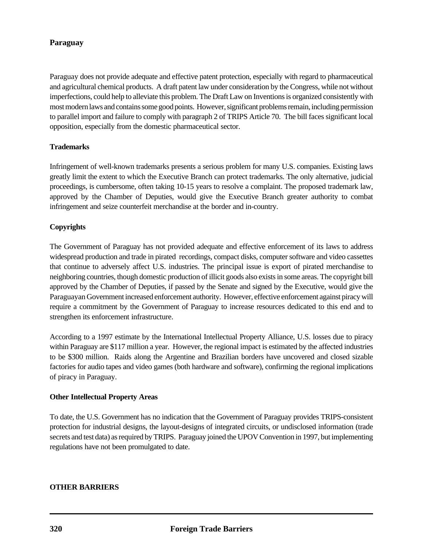# **Paraguay**

Paraguay does not provide adequate and effective patent protection, especially with regard to pharmaceutical and agricultural chemical products. A draft patent law under consideration by the Congress, while not without imperfections, could help to alleviate this problem. The Draft Law on Inventions is organized consistently with most modern laws and contains some good points. However, significant problems remain, including permission to parallel import and failure to comply with paragraph 2 of TRIPS Article 70. The bill faces significant local opposition, especially from the domestic pharmaceutical sector.

### **Trademarks**

Infringement of well-known trademarks presents a serious problem for many U.S. companies. Existing laws greatly limit the extent to which the Executive Branch can protect trademarks. The only alternative, judicial proceedings, is cumbersome, often taking 10-15 years to resolve a complaint. The proposed trademark law, approved by the Chamber of Deputies, would give the Executive Branch greater authority to combat infringement and seize counterfeit merchandise at the border and in-country.

# **Copyrights**

The Government of Paraguay has not provided adequate and effective enforcement of its laws to address widespread production and trade in pirated recordings, compact disks, computer software and video cassettes that continue to adversely affect U.S. industries. The principal issue is export of pirated merchandise to neighboring countries, though domestic production of illicit goods also exists in some areas. The copyright bill approved by the Chamber of Deputies, if passed by the Senate and signed by the Executive, would give the Paraguayan Government increased enforcement authority. However, effective enforcement against piracy will require a commitment by the Government of Paraguay to increase resources dedicated to this end and to strengthen its enforcement infrastructure.

According to a 1997 estimate by the International Intellectual Property Alliance, U.S. losses due to piracy within Paraguay are \$117 million a year. However, the regional impact is estimated by the affected industries to be \$300 million. Raids along the Argentine and Brazilian borders have uncovered and closed sizable factories for audio tapes and video games (both hardware and software), confirming the regional implications of piracy in Paraguay.

### **Other Intellectual Property Areas**

To date, the U.S. Government has no indication that the Government of Paraguay provides TRIPS-consistent protection for industrial designs, the layout-designs of integrated circuits, or undisclosed information (trade secrets and test data) as required by TRIPS. Paraguay joined the UPOV Convention in 1997, but implementing regulations have not been promulgated to date.

### **OTHER BARRIERS**